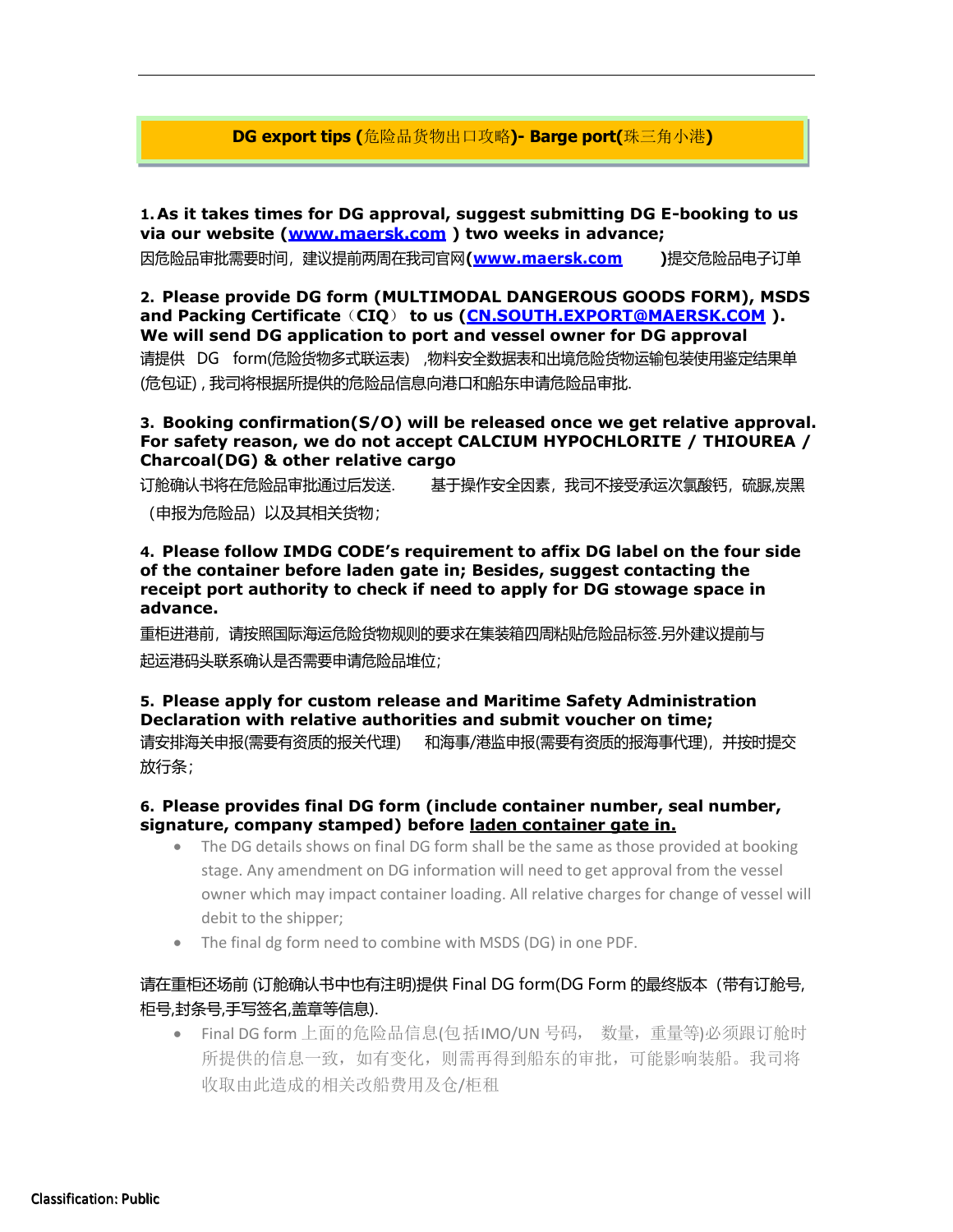### **DG export tips (**危险品货物出口攻略**)- Barge port(**珠三角小港**)**

**1.As it takes times for DG approval, suggest submitting DG E-booking to us via our website [\(www.maersk.com](http://www.maersk.com/) ) two weeks in advance;**

因危险品审批需要时间,建议提前两周在我司官网**[\(www.maersk.com \)](http://www.maersk.com/)**提交危险品电子订单

**2. Please provide DG form (MULTIMODAL DANGEROUS GOODS FORM), MSDS and Packing Certificate**(**CIQ**) **to us [\(CN.SOUTH.EXPORT@MAERSK.COM](mailto:CN.SOUTH.EXPORT@MAERSK.COM) ). We will send DG application to port and vessel owner for DG approval** 请提供 DG form(危险货物多式联运表) ,物料安全数据表和出境危险货物运输包装使用鉴定结果单 (危包证) , 我司将根据所提供的危险品信息向港口和船东申请危险品审批.

#### **3. Booking confirmation(S/O) will be released once we get relative approval. For safety reason, we do not accept CALCIUM HYPOCHLORITE / THIOUREA / Charcoal(DG) & other relative cargo**

订舱确认书将在危险品审批通过后发送. 基于操作安全因素,我司不接受承运次氯酸钙,硫脲,炭黑 (申报为危险品)以及其相关货物;

**4. Please follow IMDG CODE's requirement to affix DG label on the four side of the container before laden gate in; Besides, suggest contacting the receipt port authority to check if need to apply for DG stowage space in advance.**

重柜进港前,请按照国际海运危险货物规则的要求在集装箱四周粘贴危险品标签.另外建议提前与 起运港码头联系确认是否需要申请危险品堆位;

# **5. Please apply for custom release and Maritime Safety Administration Declaration with relative authorities and submit voucher on time;**

请安排海关申报(需要有资质的报关代理) 和海事/港监申报(需要有资质的报海事代理),并按时提交 放行条;

#### **6. Please provides final DG form (include container number, seal number, signature, company stamped) before laden container gate in.**

- The DG details shows on final DG form shall be the same as those provided at booking stage. Any amendment on DG information will need to get approval from the vessel owner which may impact container loading. All relative charges for change of vessel will debit to the shipper;
- The final dg form need to combine with MSDS (DG) in one PDF.

## 请在重柜还场前 (订舱确认书中也有注明)提供 Final DG form(DG Form 的最终版本(带有订舱号, 柜号,封条号,手写签名,盖章等信息).

• Final DG form 上面的危险品信息(包括IMO/UN 号码, 数量,重量等)必须跟订舱时 所提供的信息一致,如有变化,则需再得到船东的审批,可能影响装船。我司将 收取由此造成的相关改船费用及仓/柜租